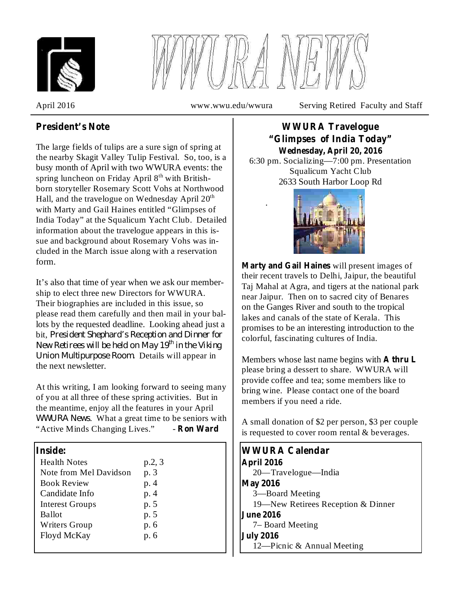



.

April 2016 www.wwu.edu/wwura Serving Retired Faculty and Staff

# **President's Note**

The large fields of tulips are a sure sign of spring at the nearby Skagit Valley Tulip Festival. So, too, is a busy month of April with two WWURA events: the spring luncheon on Friday April  $8<sup>th</sup>$  with Britishborn storyteller Rosemary Scott Vohs at Northwood Hall, and the travelogue on Wednesday April  $20<sup>th</sup>$ with Marty and Gail Haines entitled "Glimpses of India Today" at the Squalicum Yacht Club. Detailed information about the travelogue appears in this issue and background about Rosemary Vohs was included in the March issue along with a reservation form.

It's also that time of year when we ask our membership to elect three new Directors for WWURA. Their biographies are included in this issue, so please read them carefully and then mail in your ballots by the requested deadline. Looking ahead just a bit, *President Shephard's Reception and Dinner for Union Multipurpose Room.* Details will appear in the next newsletter. *New Retirees will be held on May 19 th in the Viking*

At this writing, I am looking forward to seeing many of you at all three of these spring activities. But in the meantime, enjoy all the features in your April . What a great time to be seniors with *WWURA News*"Active Minds Changing Lives." - **Ron Ward**

| <b>Health Notes</b>    | p.2, 3 |
|------------------------|--------|
| Note from Mel Davidson | p. 3   |
| <b>Book Review</b>     | p. 4   |
| Candidate Info         | p. 4   |
| <b>Interest Groups</b> | p. 5   |
| <b>Ballot</b>          | p. 5   |
| <b>Writers Group</b>   | p. 6   |
| Floyd McKay            | p. 6   |
|                        |        |

## 6:30 pm. Socializing—7:00 pm. Presentation Squalicum Yacht Club **WWURA Travelogue "Glimpses of India Today" Wednesday, April 20, 2016**

2633 South Harbor Loop Rd

**Marty and Gail Haines** will present images of their recent travels to Delhi, Jaipur, the beautiful Taj Mahal at Agra, and tigers at the national park near Jaipur. Then on to sacred city of Benares on the Ganges River and south to the tropical lakes and canals of the state of Kerala. This promises to be an interesting introduction to the colorful, fascinating cultures of India.

Members whose last name begins with **A thru L** please bring a dessert to share. WWURA will provide coffee and tea; some members like to bring wine. Please contact one of the board members if you need a ride.

A small donation of \$2 per person, \$3 per couple is requested to cover room rental & beverages.

```
20—Travelogue—India
                                        3—Board Meeting
                                        19—New Retirees Reception & Dinner
                                        7– Board Meeting
                                        12—Picnic & Annual Meeting
Inside: WWURA Calendar
                                      April 2016
                                      May 2016
                                      June 2016
                                      July 2016
```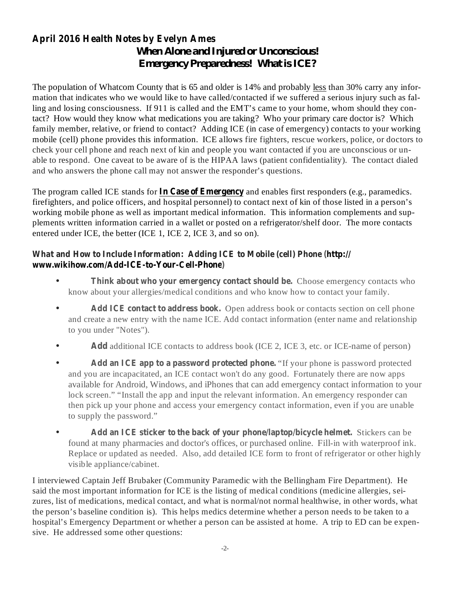# **April 2016 Health Notes by Evelyn Ames** *When Alone and Injured or Unconscious! Emergency Preparedness! What is ICE?*

The population of Whatcom County that is 65 and older is 14% and probably less than 30% carry any information that indicates who we would like to have called/contacted if we suffered a serious injury such as falling and losing consciousness. If 911 is called and the EMT's came to your home, whom should they contact? How would they know what medications you are taking? Who your primary care doctor is? Which family member, relative, or friend to contact? Adding ICE (in case of emergency) contacts to your working mobile (cell) phone provides this information. ICE allows fire fighters, rescue workers, police, or doctors to check your cell phone and reach next of kin and people you want contacted if you are unconscious or unable to respond. One caveat to be aware of is the HIPAA laws (patient confidentiality). The contact dialed and who answers the phone call may not answer the responder's questions.

The program called ICE stands for **In Case of Emergency** and enables first responders (e.g., paramedics. firefighters, and police officers, and hospital personnel) to contact next of kin of those listed in a person's working mobile phone as well as important medical information. This information complements and supplements written information carried in a wallet or posted on a refrigerator/shelf door. The more contacts entered under ICE, the better (ICE 1, ICE 2, ICE 3, and so on).

## **What and How to Include Information: Adding ICE to Mobile (cell) Phone (http:// www.wikihow.com/Add-ICE-to-Your-Cell-Phone)**

- **Think about who your emergency contact should be.** Choose emergency contacts who know about your allergies/medical conditions and who know how to contact your family. •
- **Add ICE contact to address book.** Open address book or contacts section on cell phone and create a new entry with the name ICE. Add contact information (enter name and relationship to you under "Notes"). •
- Add additional ICE contacts to address book (ICE 2, ICE 3, etc. or ICE-name of person) •
- **Add an ICE app to a password protected phone.** "If your phone is password protected and you are incapacitated, an ICE contact won't do any good. Fortunately there are now apps available for Android, Windows, and iPhones that can add emergency contact information to your lock screen." "Install the app and input the relevant information. An emergency responder can then pick up your phone and access your emergency contact information, even if you are unable to supply the password." •
- **Add an ICE sticker to the back of your phone/laptop/bicycle helmet.** Stickers can be found at many pharmacies and doctor's offices, or purchased online. Fill-in with waterproof ink. Replace or updated as needed. Also, add detailed ICE form to front of refrigerator or other highly visible appliance/cabinet. •

I interviewed Captain Jeff Brubaker (Community Paramedic with the Bellingham Fire Department). He said the most important information for ICE is the listing of medical conditions (medicine allergies, seizures, list of medications, medical contact, and what is normal/not normal healthwise, in other words, what the person's baseline condition is). This helps medics determine whether a person needs to be taken to a hospital's Emergency Department or whether a person can be assisted at home. A trip to ED can be expensive. He addressed some other questions: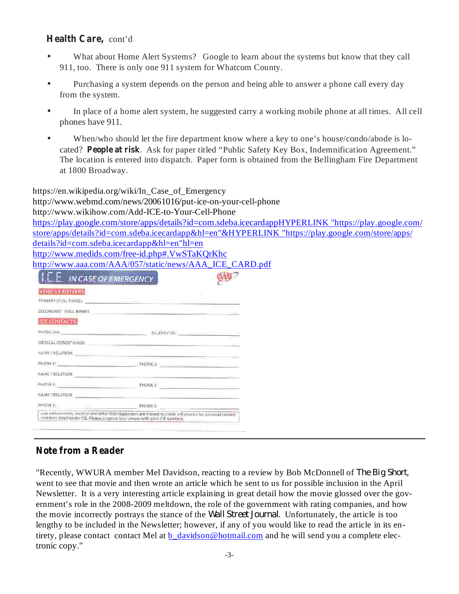## **Health Care,** cont'd

- What about Home Alert Systems? Google to learn about the systems but know that they call 911, too. There is only one 911 system for Whatcom County. •
- Purchasing a system depends on the person and being able to answer a phone call every day from the system. •
- In place of a home alert system, he suggested carry a working mobile phone at all times. All cell phones have 911. •
- cated? People at risk. Ask for paper titled "Public Safety Key Box, Indemnification Agreement." When/who should let the fire department know where a key to one's house/condo/abode is lo-The location is entered into dispatch. Paper form is obtained from the Bellingham Fire Department at 1800 Broadway. •

https://en.wikipedia.org/wiki/In\_Case\_of\_Emergency http://www.webmd.com/news/20061016/put-ice-on-your-cell-phone http://www.wikihow.com/Add-ICE-to-Your-Cell-Phone https://play.google.com/store/apps/details?id=com.sdeba.icecardappHYPERLINK "https://play.google.com/ store/apps/details?id=com.sdeba.icecardapp&hl=en"&HYPERLINK "https://play.google.com/store/apps/ details?id=com.sdeba.icecardapp&hl=en"hl=en http://www.medids.com/free-id.php#.VwSTaKQrKhc http://www.aaa.com/AAA/057/static/news/AAA\_ICE\_CARD.pdf

| <b>VEHICLE DRIVERS</b>                                                                                          | $\blacksquare$                                                                                                                                                                                                                |  |
|-----------------------------------------------------------------------------------------------------------------|-------------------------------------------------------------------------------------------------------------------------------------------------------------------------------------------------------------------------------|--|
| PRIMARY (FULL NAME: Contract of the contract of the contract of the contract of the contract of the contract of |                                                                                                                                                                                                                               |  |
|                                                                                                                 |                                                                                                                                                                                                                               |  |
| <b>ICE CONTACTS</b>                                                                                             |                                                                                                                                                                                                                               |  |
|                                                                                                                 |                                                                                                                                                                                                                               |  |
|                                                                                                                 | MEGICAL CONDITIONISH: And the actual contract of the contract of the contract of the contract of the contract of the contract of the contract of the contract of the contract of the contract of the contract of the contract |  |
|                                                                                                                 |                                                                                                                                                                                                                               |  |
|                                                                                                                 |                                                                                                                                                                                                                               |  |
|                                                                                                                 |                                                                                                                                                                                                                               |  |
| PHONE 1.                                                                                                        | <u> 1980 - An Aonaichte ann an Comhair ann an t-</u>                                                                                                                                                                          |  |
|                                                                                                                 | NAME / RELATION: We have a series of the series of the series of the series of the series of the series of the                                                                                                                |  |
| PHONE 1:                                                                                                        | PHONE 3                                                                                                                                                                                                                       |  |

# **Note from a Reader**

"Recently, WWURA member Mel Davidson, reacting to a review by Bob McDonnell of , *The Big Short* went to see that movie and then wrote an article which he sent to us for possible inclusion in the April Newsletter. It is a very interesting article explaining in great detail how the movie glossed over the government's role in the 2008-2009 meltdown, the role of the government with rating companies, and how the movie incorrectly portrays the stance of the *Wall Street Journal*. Unfortunately, the article is too lengthy to be included in the Newsletter; however, if any of you would like to read the article in its entirety, please contact contact Mel at b\_davidson@hotmail.com and he will send you a complete electronic copy."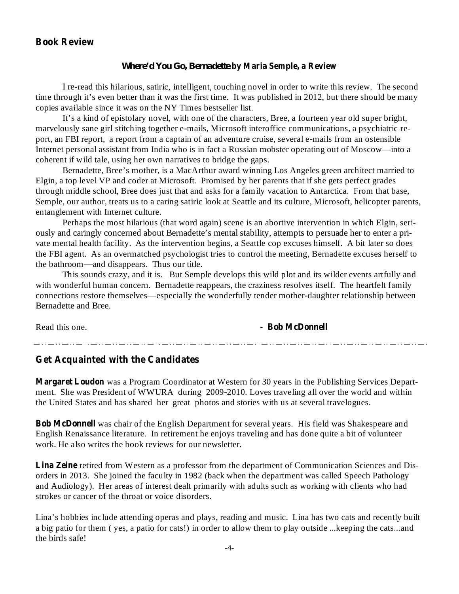## **Book Review**

#### **by Maria Semple, a Review** *Where'd You Go, Bernadette*

I re-read this hilarious, satiric, intelligent, touching novel in order to write this review. The second time through it's even better than it was the first time. It was published in 2012, but there should be many copies available since it was on the NY Times bestseller list.

It's a kind of epistolary novel, with one of the characters, Bree, a fourteen year old super bright, marvelously sane girl stitching together e-mails, Microsoft interoffice communications, a psychiatric report, an FBI report, a report from a captain of an adventure cruise, several e-mails from an ostensible Internet personal assistant from India who is in fact a Russian mobster operating out of Moscow—into a coherent if wild tale, using her own narratives to bridge the gaps.

Bernadette, Bree's mother, is a MacArthur award winning Los Angeles green architect married to Elgin, a top level VP and coder at Microsoft. Promised by her parents that if she gets perfect grades through middle school, Bree does just that and asks for a family vacation to Antarctica. From that base, Semple, our author, treats us to a caring satiric look at Seattle and its culture, Microsoft, helicopter parents, entanglement with Internet culture.

Perhaps the most hilarious (that word again) scene is an abortive intervention in which Elgin, seriously and caringly concerned about Bernadette's mental stability, attempts to persuade her to enter a private mental health facility. As the intervention begins, a Seattle cop excuses himself. A bit later so does the FBI agent. As an overmatched psychologist tries to control the meeting, Bernadette excuses herself to the bathroom—and disappears. Thus our title.

This sounds crazy, and it is. But Semple develops this wild plot and its wilder events artfully and with wonderful human concern. Bernadette reappears, the craziness resolves itself. The heartfelt family connections restore themselves—especially the wonderfully tender mother-daughter relationship between Bernadette and Bree.

Read this one.

#### **- Bob McDonnell**

وساورهم والمتواز متوازيمي والمتوازيم والمتوازيم والموازيم والمتوازيم والمتوازيم والموازيم والموازيم والموازيم والموازيم والموازي

#### **Get Acquainted with the Candidates**

**Margaret Loudon** was a Program Coordinator at Western for 30 years in the Publishing Services Department. She was President of WWURA during 2009-2010. Loves traveling all over the world and within the United States and has shared her great photos and stories with us at several travelogues.

**Bob McDonnell** was chair of the English Department for several years. His field was Shakespeare and English Renaissance literature. In retirement he enjoys traveling and has done quite a bit of volunteer work. He also writes the book reviews for our newsletter.

Lina Zeine retired from Western as a professor from the department of Communication Sciences and Disorders in 2013. She joined the faculty in 1982 (back when the department was called Speech Pathology and Audiology). Her areas of interest dealt primarily with adults such as working with clients who had strokes or cancer of the throat or voice disorders.

Lina's hobbies include attending operas and plays, reading and music. Lina has two cats and recently built a big patio for them ( yes, a patio for cats!) in order to allow them to play outside ...keeping the cats...and the birds safe!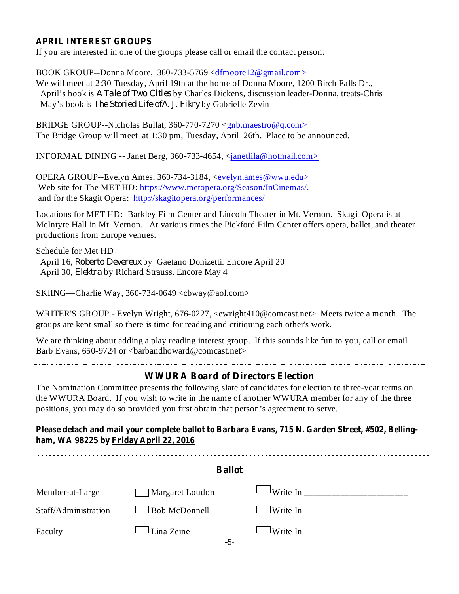### **APRIL INTEREST GROUPS**

If you are interested in one of the groups please call or email the contact person.

BOOK GROUP--Donna Moore, 360-733-5769 <dfmoore12@gmail.com> We will meet at 2:30 Tuesday, April 19th at the home of Donna Moore, 1200 Birch Falls Dr., April's book is *A Tale of Two Cities* by Charles Dickens, discussion leader-Donna, treats-Chris May's book is *The Storied Life ofA. J. Fikry* by Gabrielle Zevin

BRIDGE GROUP--Nicholas Bullat,  $360-770-7270 \leq gnb \text{.}$  maestro @q.com> The Bridge Group will meet at 1:30 pm, Tuesday, April 26th. Place to be announced.

INFORMAL DINING -- Janet Berg, 360-733-4654, <janetlila@hotmail.com>

OPERA GROUP--Evelyn Ames, 360-734-3184, <evelyn.ames@wwu.edu> Web site for The MET HD: https://www.metopera.org/Season/InCinemas/. and for the Skagit Opera: http://skagitopera.org/performances/

Locations for MET HD: Barkley Film Center and Lincoln Theater in Mt. Vernon. Skagit Opera is at McIntyre Hall in Mt. Vernon. At various times the Pickford Film Center offers opera, ballet, and theater productions from Europe venues.

Schedule for Met HD April 16, Roberto Devereux by Gaetano Donizetti. Encore April 20 April 30, *Elektra* by Richard Strauss. Encore May 4

SKIING—Charlie Way, 360-734-0649 <cbway@aol.com>

WRITER'S GROUP - Evelyn Wright, 676-0227, <ewright410@comcast.net> Meets twice a month. The groups are kept small so there is time for reading and critiquing each other's work.

We are thinking about adding a play reading interest group. If this sounds like fun to you, call or email Barb Evans, 650-9724 or <br/>barbandhoward@comcast.net>

## **WWURA Board of Directors Election**

The Nomination Committee presents the following slate of candidates for election to three-year terms on the WWURA Board. If you wish to write in the name of another WWURA member for any of the three positions, you may do so provided you first obtain that person's agreement to serve.

**Please detach and mail your complete ballot to Barbara Evans, 715 N. Garden Street, #502, Bellingham, WA 98225 by Friday April 22, 2016**

| <b>Ballot</b>        |                            |  |  |
|----------------------|----------------------------|--|--|
| Member-at-Large      | Margaret Loudon            |  |  |
| Staff/Administration | Bob McDonnell              |  |  |
| Faculty              | $\Box$ Lina Zeine<br>$-5-$ |  |  |